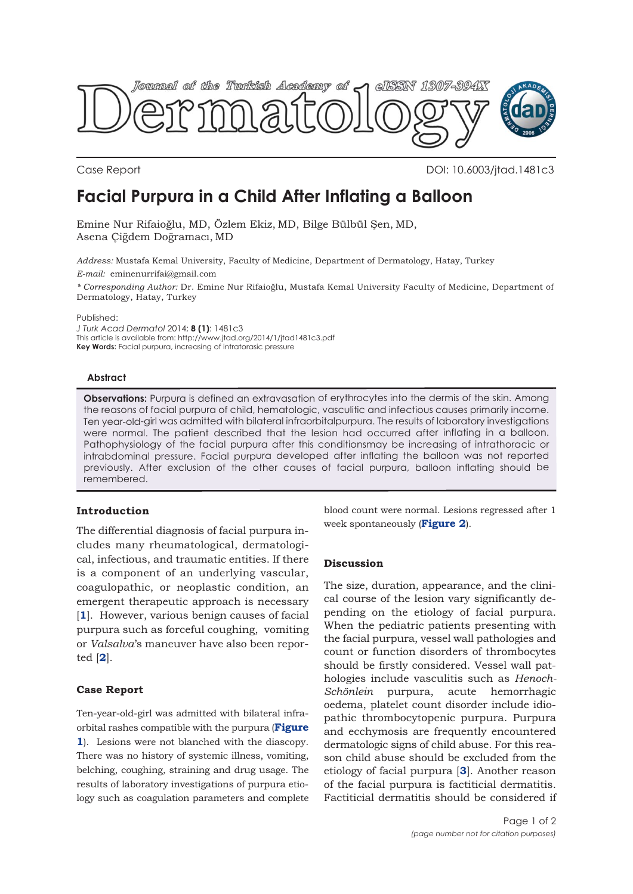

Case Report DOI: 10.6003/jtad.1481c3

# **Facial Purpura in a Child After Inflating a Balloon**

Emine Nur Rifaioğlu, MD, Özlem Ekiz, MD, Bilge Bülbül Şen, MD, Asena Çiğdem Doğramacı, MD

*Address:* Mustafa Kemal University, Faculty of Medicine, Department of Dermatology, Hatay, Turkey

*E-mail:* eminenurrifai@gmail.com

*\* Corresponding Author:* Dr. Emine Nur Rifaioğlu, Mustafa Kemal University Faculty of Medicine, Department of Dermatology, Hatay, Turkey

Published:

*J Turk Acad Dermatol* 2014; **8 (1)**: 1481c3 This article is available from: http://www.jtad.org/2014/1/jtad1481c3.pdf **Key Words:** Facial purpura, increasing of intratorasic pressure

### **Abstract**

**Observations:** Purpura is defined an extravasation of erythrocytes into the dermis of the skin. Among the reasons of facial purpura of child, hematologic, vasculitic and infectious causes primarily income. Ten year-old-girl was admitted with bilateral infraorbitalpurpura. The results of laboratory investigations were normal. The patient described that the lesion had occurred after inflating in a balloon. Pathophysiology of the facial purpura after this conditionsmay be increasing of intrathoracic or intrabdominal pressure. Facial purpura developed after inflating the balloon was not reported previously. After exclusion of the other causes of facial purpura, balloon inflating should be remembered.

# **Introduction**

The differential diagnosis of facial purpura includes many rheumatological, dermatological, infectious, and traumatic entities. If there is a component of an underlying vascular, coagulopathic, or neoplastic condition, an emergent therapeutic approach is necessary [**1**]. However, various benign causes of facial purpura such as forceful coughing, vomiting or *Valsalva*'s maneuver have also been reported [**2**].

# **Case Report**

Ten-year-old-girl was admitted with bilateral infraorbital rashes compatible with the purpura (**Figure 1**). Lesions were not blanched with the diascopy. There was no history of systemic illness, vomiting, belching, coughing, straining and drug usage. The results of laboratory investigations of purpura etiology such as coagulation parameters and complete

blood count were normal. Lesions regressed after 1 week spontaneously (**Figure 2**).

### **Discussion**

The size, duration, appearance, and the clinical course of the lesion vary significantly depending on the etiology of facial purpura. When the pediatric patients presenting with the facial purpura, vessel wall pathologies and count or function disorders of thrombocytes should be firstly considered. Vessel wall pathologies include vasculitis such as *Henoch-Schönlein* purpura, acute hemorrhagic oedema, platelet count disorder include idiopathic thrombocytopenic purpura. Purpura and ecchymosis are frequently encountered dermatologic signs of child abuse. For this reason child abuse should be excluded from the etiology of facial purpura [**3**]. Another reason of the facial purpura is factiticial dermatitis. Factiticial dermatitis should be considered if